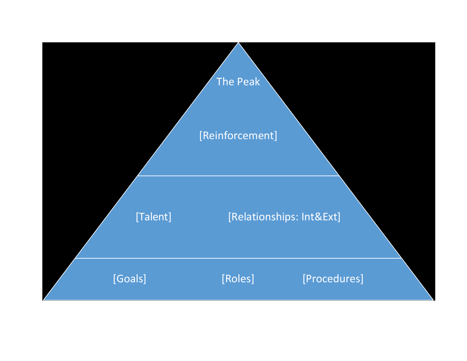